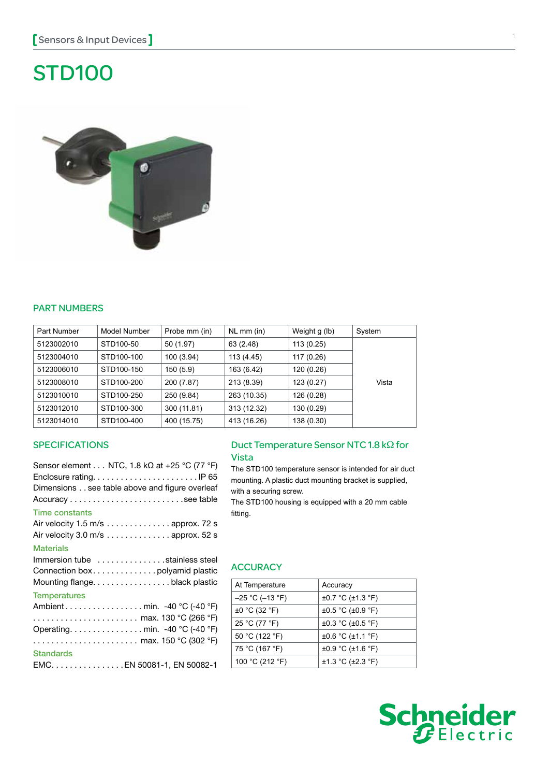# STD100



## **PART NUMBERS**

| Part Number | Model Number | Probe mm (in) | $NL$ mm (in) | Weight g (lb) | System |
|-------------|--------------|---------------|--------------|---------------|--------|
| 5123002010  | STD100-50    | 50 (1.97)     | 63 (2.48)    | 113(0.25)     |        |
| 5123004010  | STD100-100   | 100 (3.94)    | 113 (4.45)   | 117 (0.26)    |        |
| 5123006010  | STD100-150   | 150(5.9)      | 163 (6.42)   | 120 (0.26)    |        |
| 5123008010  | STD100-200   | 200 (7.87)    | 213 (8.39)   | 123(0.27)     | Vista  |
| 5123010010  | STD100-250   | 250 (9.84)    | 263 (10.35)  | 126 (0.28)    |        |
| 5123012010  | STD100-300   | 300 (11.81)   | 313 (12.32)  | 130 (0.29)    |        |
| 5123014010  | STD100-400   | 400 (15.75)   | 413 (16.26)  | 138 (0.30)    |        |

#### **SPECIFICATIONS**

| Sensor element NTC, 1.8 k $\Omega$ at +25 °C (77 °F) |
|------------------------------------------------------|
|                                                      |
| Dimensions see table above and figure overleaf       |
|                                                      |
| <b>Time constants</b>                                |
| Air velocity $1.5 \text{ m/s}$ approx. 72 s          |
| Air velocity $3.0 \text{ m/s}$ approx. 52 s          |
| <b>Materials</b>                                     |
| Immersion tube stainless steel                       |
|                                                      |
| Mounting flange. black plastic                       |
| <b>Temperatures</b>                                  |
|                                                      |
| max. 130 °C (266 °F)                                 |
| Operating. min. -40 °C (-40 °F)                      |
| max. 150 °C (302 °F)                                 |
| <b>Standards</b>                                     |
| EMC. EN 50081-1, EN 50082-1                          |

## Duct Temperature Sensor NTC 1.8 kΩ for Vista

The STD100 temperature sensor is intended for air duct mounting. A plastic duct mounting bracket is supplied, with a securing screw.

The STD100 housing is equipped with a 20 mm cable fitting.

#### **ACCURACY**

| At Temperature       | Accuracy                     |
|----------------------|------------------------------|
| $-25$ °C ( $-13$ °F) | ±0.7 °C (±1.3 °F)            |
| $\pm 0$ °C (32 °F)   | $\pm 0.5$ °C ( $\pm 0.9$ °F) |
| 25 °C (77 °F)        | $\pm 0.3$ °C ( $\pm 0.5$ °F) |
| 50 °C (122 °F)       | $\pm 0.6$ °C ( $\pm 1.1$ °F) |
| 75 °C (167 °F)       | $\pm 0.9$ °C ( $\pm 1.6$ °F) |
| 100 °C (212 °F)      | ±1.3 °C (±2.3 °F)            |
|                      |                              |